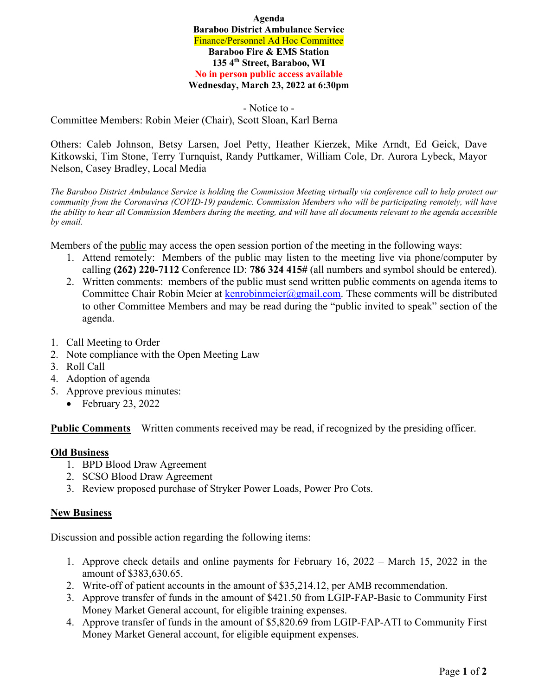**Agenda Baraboo District Ambulance Service**  Finance/Personnel Ad Hoc Committee **Baraboo Fire & EMS Station 135 4th Street, Baraboo, WI No in person public access available Wednesday, March 23, 2022 at 6:30pm** 

- Notice to - Committee Members: Robin Meier (Chair), Scott Sloan, Karl Berna

Others: Caleb Johnson, Betsy Larsen, Joel Petty, Heather Kierzek, Mike Arndt, Ed Geick, Dave Kitkowski, Tim Stone, Terry Turnquist, Randy Puttkamer, William Cole, Dr. Aurora Lybeck, Mayor Nelson, Casey Bradley, Local Media

*The Baraboo District Ambulance Service is holding the Commission Meeting virtually via conference call to help protect our community from the Coronavirus (COVID-19) pandemic. Commission Members who will be participating remotely, will have the ability to hear all Commission Members during the meeting, and will have all documents relevant to the agenda accessible by email.* 

Members of the public may access the open session portion of the meeting in the following ways:

- 1. Attend remotely: Members of the public may listen to the meeting live via phone/computer by calling **(262) 220-7112** Conference ID: **786 324 415#** (all numbers and symbol should be entered).
- 2. Written comments: members of the public must send written public comments on agenda items to Committee Chair Robin Meier at kenrobinmeier@gmail.com. These comments will be distributed to other Committee Members and may be read during the "public invited to speak" section of the agenda.
- 1. Call Meeting to Order
- 2. Note compliance with the Open Meeting Law
- 3. Roll Call
- 4. Adoption of agenda
- 5. Approve previous minutes:
	- $\bullet$  February 23, 2022

**Public Comments** – Written comments received may be read, if recognized by the presiding officer.

## **Old Business**

- 1. BPD Blood Draw Agreement
- 2. SCSO Blood Draw Agreement
- 3. Review proposed purchase of Stryker Power Loads, Power Pro Cots.

## **New Business**

Discussion and possible action regarding the following items:

- 1. Approve check details and online payments for February 16, 2022 March 15, 2022 in the amount of \$383,630.65.
- 2. Write-off of patient accounts in the amount of \$35,214.12, per AMB recommendation.
- 3. Approve transfer of funds in the amount of \$421.50 from LGIP-FAP-Basic to Community First Money Market General account, for eligible training expenses.
- 4. Approve transfer of funds in the amount of \$5,820.69 from LGIP-FAP-ATI to Community First Money Market General account, for eligible equipment expenses.